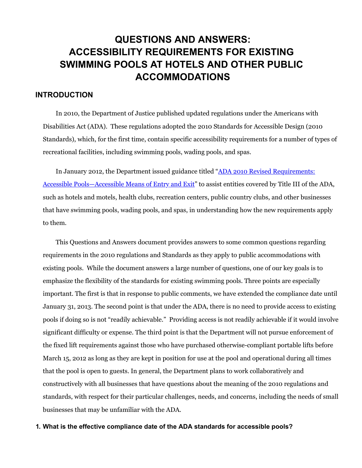# **QUESTIONS AND ANSWERS: ACCESSIBILITY REQUIREMENTS FOR EXISTING SWIMMING POOLS AT HOTELS AND OTHER PUBLIC ACCOMMODATIONS**

# **INTRODUCTION**

In 2010, the Department of Justice published updated regulations under the Americans with Disabilities Act (ADA). These regulations adopted the 2010 Standards for Accessible Design (2010 Standards), which, for the first time, contain specific accessibility requirements for a number of types of recreational facilities, including swimming pools, wading pools, and spas.

In January 2012, the Department issued guidance titled "ADA 2010 Revised Requirements: [Accessible Pools—Accessible Means of Entry and Exit" to assist entities covered by Title III of the](https://www.ada.gov/pools_2010.htm) ADA, such as hotels and motels, health clubs, recreation centers, public country clubs, and other businesses that have swimming pools, wading pools, and spas, in understanding how the new requirements apply to them.

This Questions and Answers document provides answers to some common questions regarding requirements in the 2010 regulations and Standards as they apply to public accommodations with existing pools. While the document answers a large number of questions, one of our key goals is to emphasize the flexibility of the standards for existing swimming pools. Three points are especially important. The first is that in response to public comments, we have extended the compliance date until January 31, 2013. The second point is that under the ADA, there is no need to provide access to existing pools if doing so is not "readily achievable." Providing access is not readily achievable if it would involve significant difficulty or expense. The third point is that the Department will not pursue enforcement of the fixed lift requirements against those who have purchased otherwise-compliant portable lifts before March 15, 2012 as long as they are kept in position for use at the pool and operational during all times that the pool is open to guests. In general, the Department plans to work collaboratively and constructively with all businesses that have questions about the meaning of the 2010 regulations and standards, with respect for their particular challenges, needs, and concerns, including the needs of small businesses that may be unfamiliar with the ADA.

## **1. What is the effective compliance date of the ADA standards for accessible pools?**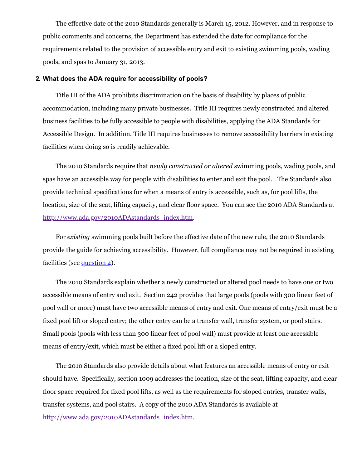The effective date of the 2010 Standards generally is March 15, 2012. However, and in response to public comments and concerns, the Department has extended the date for compliance for the requirements related to the provision of accessible entry and exit to existing swimming pools, wading pools, and spas to January 31, 2013.

#### <span id="page-1-0"></span>**2. What does the ADA require for accessibility of pools?**

Title III of the ADA prohibits discrimination on the basis of disability by places of public accommodation, including many private businesses. Title III requires newly constructed and altered business facilities to be fully accessible to people with disabilities, applying the ADA Standards for Accessible Design. In addition, Title III requires businesses to remove accessibility barriers in existing facilities when doing so is readily achievable.

The 2010 Standards require that *newly constructed or altered* swimming pools, wading pools, and spas have an accessible way for people with disabilities to enter and exit the pool. The Standards also provide technical specifications for when a means of entry is accessible, such as, for pool lifts, the location, size of the seat, lifting capacity, and clear floor space. You can see the 2010 ADA Standards at [http://www.ada.gov/2010ADAstandards\\_index.htm](https://www.ada.gov/2010ADAstandards_index.htm).

For *existing* swimming pools built before the effective date of the new rule, the 2010 Standards provide the guide for achieving accessibility. However, full compliance may not be required in existing facilities (see [question 4\)](#page-2-0).

The 2010 Standards explain whether a newly constructed or altered pool needs to have one or two accessible means of entry and exit. Section 242 provides that large pools (pools with 300 linear feet of pool wall or more) must have two accessible means of entry and exit. One means of entry/exit must be a fixed pool lift or sloped entry; the other entry can be a transfer wall, transfer system, or pool stairs. Small pools (pools with less than 300 linear feet of pool wall) must provide at least one accessible means of entry/exit, which must be either a fixed pool lift or a sloped entry.

The 2010 Standards also provide details about what features an accessible means of entry or exit should have. Specifically, section 1009 addresses the location, size of the seat, lifting capacity, and clear floor space required for fixed pool lifts, as well as the requirements for sloped entries, transfer walls, transfer systems, and pool stairs. A copy of the 2010 ADA Standards is available at [http://www.ada.gov/2010ADAstandards\\_index.htm](https://www.ada.gov/2010ADAstandards_index.htm).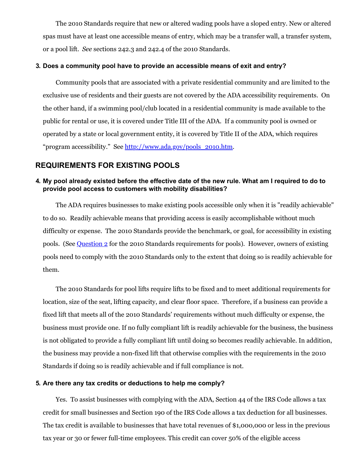The 2010 Standards require that new or altered wading pools have a sloped entry. New or altered spas must have at least one accessible means of entry, which may be a transfer wall, a transfer system, or a pool lift. *See* sections 242.3 and 242.4 of the 2010 Standards.

#### **3. Does a community pool have to provide an accessible means of exit and entry?**

Community pools that are associated with a private residential community and are limited to the exclusive use of residents and their guests are not covered by the ADA accessibility requirements. On the other hand, if a swimming pool/club located in a residential community is made available to the public for rental or use, it is covered under Title III of the ADA. If a community pool is owned or operated by a state or local government entity, it is covered by Title II of the ADA, which requires "program accessibility." See [http://www.ada.gov/pools\\_2010.htm.](https://www.ada.gov/pools_2010.htm)

# **REQUIREMENTS FOR EXISTING POOLS**

## <span id="page-2-0"></span>**4. My pool already existed before the effective date of the new rule. What am I required to do to provide pool access to customers with mobility disabilities?**

The ADA requires businesses to make existing pools accessible only when it is "readily achievable" to do so. Readily achievable means that providing access is easily accomplishable without much difficulty or expense. The 2010 Standards provide the benchmark, or goal, for accessibility in existing pools. (See [Question 2](#page-1-0) for the 2010 Standards requirements for pools). However, owners of existing pools need to comply with the 2010 Standards only to the extent that doing so is readily achievable for them.

The 2010 Standards for pool lifts require lifts to be fixed and to meet additional requirements for location, size of the seat, lifting capacity, and clear floor space. Therefore, if a business can provide a fixed lift that meets all of the 2010 Standards' requirements without much difficulty or expense, the business must provide one. If no fully compliant lift is readily achievable for the business, the business is not obligated to provide a fully compliant lift until doing so becomes readily achievable. In addition, the business may provide a non-fixed lift that otherwise complies with the requirements in the 2010 Standards if doing so is readily achievable and if full compliance is not.

## **5. Are there any tax credits or deductions to help me comply?**

Yes. To assist businesses with complying with the ADA, Section 44 of the IRS Code allows a tax credit for small businesses and Section 190 of the IRS Code allows a tax deduction for all businesses. The tax credit is available to businesses that have total revenues of \$1,000,000 or less in the previous tax year or 30 or fewer full-time employees. This credit can cover 50% of the eligible access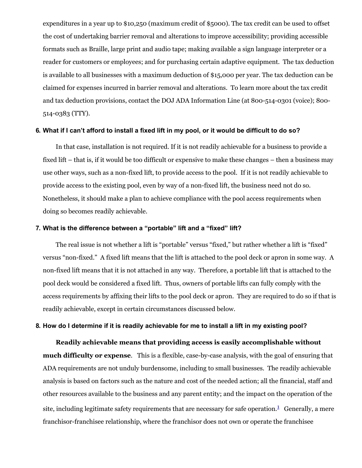expenditures in a year up to \$10,250 (maximum credit of \$5000). The tax credit can be used to offset the cost of undertaking barrier removal and alterations to improve accessibility; providing accessible formats such as Braille, large print and audio tape; making available a sign language interpreter or a reader for customers or employees; and for purchasing certain adaptive equipment. The tax deduction is available to all businesses with a maximum deduction of \$15,000 per year. The tax deduction can be claimed for expenses incurred in barrier removal and alterations. To learn more about the tax credit and tax deduction provisions, contact the DOJ ADA Information Line (at 800-514-0301 (voice); 800- 514-0383 (TTY).

#### **6. What if I can't afford to install a fixed lift in my pool, or it would be difficult to do so?**

In that case, installation is not required. If it is not readily achievable for a business to provide a fixed lift – that is, if it would be too difficult or expensive to make these changes – then a business may use other ways, such as a non-fixed lift, to provide access to the pool. If it is not readily achievable to provide access to the existing pool, even by way of a non-fixed lift, the business need not do so. Nonetheless, it should make a plan to achieve compliance with the pool access requirements when doing so becomes readily achievable.

## **7. What is the difference between a "portable" lift and a "fixed" lift?**

The real issue is not whether a lift is "portable" versus "fixed," but rather whether a lift is "fixed" versus "non-fixed." A fixed lift means that the lift is attached to the pool deck or apron in some way. A non-fixed lift means that it is not attached in any way. Therefore, a portable lift that is attached to the pool deck would be considered a fixed lift. Thus, owners of portable lifts can fully comply with the access requirements by affixing their lifts to the pool deck or apron. They are required to do so if that is readily achievable, except in certain circumstances discussed below.

#### **8. How do I determine if it is readily achievable for me to install a lift in my existing pool?**

<span id="page-3-0"></span>**Readily achievable means that providing access is easily accomplishable without much difficulty or expense**. This is a flexible, case-by-case analysis, with the goal of ensuring that ADA requirements are not unduly burdensome, including to small businesses. The readily achievable analysis is based on factors such as the nature and cost of the needed action; all the financial, staff and other resources available to the business and any parent entity; and the impact on the operation of the site, including legitimate safety requirements that are necessary for safe operation. $<sup>1</sup>$  $<sup>1</sup>$  $<sup>1</sup>$  Generally, a mere</sup> franchisor-franchisee relationship, where the franchisor does not own or operate the franchisee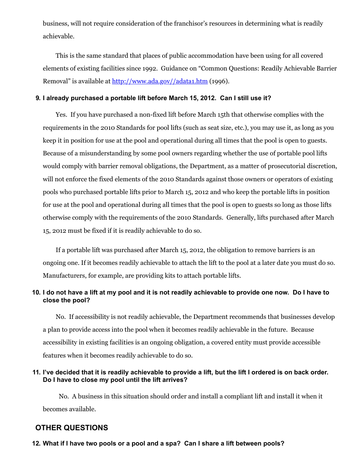business, will not require consideration of the franchisor's resources in determining what is readily achievable.

This is the same standard that places of public accommodation have been using for all covered elements of existing facilities since 1992. Guidance on "Common Questions: Readily Achievable Barrier Removal" is available at [http://www.ada.gov//adata1.htm](https://www.ada.gov/adata1.htm) (1996).

## **9. I already purchased a portable lift before March 15, 2012. Can I still use it?**

Yes. If you have purchased a non-fixed lift before March 15th that otherwise complies with the requirements in the 2010 Standards for pool lifts (such as seat size, etc.), you may use it, as long as you keep it in position for use at the pool and operational during all times that the pool is open to guests. Because of a misunderstanding by some pool owners regarding whether the use of portable pool lifts would comply with barrier removal obligations, the Department, as a matter of prosecutorial discretion, will not enforce the fixed elements of the 2010 Standards against those owners or operators of existing pools who purchased portable lifts prior to March 15, 2012 and who keep the portable lifts in position for use at the pool and operational during all times that the pool is open to guests so long as those lifts otherwise comply with the requirements of the 2010 Standards. Generally, lifts purchased after March 15, 2012 must be fixed if it is readily achievable to do so.

If a portable lift was purchased after March 15, 2012, the obligation to remove barriers is an ongoing one. If it becomes readily achievable to attach the lift to the pool at a later date you must do so. Manufacturers, for example, are providing kits to attach portable lifts.

# **10. I do not have a lift at my pool and it is not readily achievable to provide one now. Do I have to close the pool?**

No. If accessibility is not readily achievable, the Department recommends that businesses develop a plan to provide access into the pool when it becomes readily achievable in the future. Because accessibility in existing facilities is an ongoing obligation, a covered entity must provide accessible features when it becomes readily achievable to do so.

# **11. I've decided that it is readily achievable to provide a lift, but the lift I ordered is on back order. Do I have to close my pool until the lift arrives?**

 No. A business in this situation should order and install a compliant lift and install it when it becomes available.

# **OTHER QUESTIONS**

**12. What if I have two pools or a pool and a spa? Can I share a lift between pools?**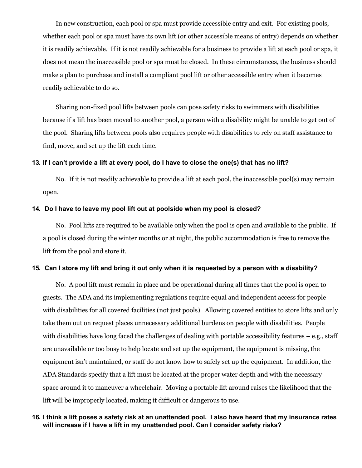In new construction, each pool or spa must provide accessible entry and exit. For existing pools, whether each pool or spa must have its own lift (or other accessible means of entry) depends on whether it is readily achievable. If it is not readily achievable for a business to provide a lift at each pool or spa, it does not mean the inaccessible pool or spa must be closed. In these circumstances, the business should make a plan to purchase and install a compliant pool lift or other accessible entry when it becomes readily achievable to do so.

Sharing non-fixed pool lifts between pools can pose safety risks to swimmers with disabilities because if a lift has been moved to another pool, a person with a disability might be unable to get out of the pool. Sharing lifts between pools also requires people with disabilities to rely on staff assistance to find, move, and set up the lift each time.

## **13. If I can't provide a lift at every pool, do I have to close the one(s) that has no lift?**

No. If it is not readily achievable to provide a lift at each pool, the inaccessible pool(s) may remain open.

## **14. Do I have to leave my pool lift out at poolside when my pool is closed?**

No. Pool lifts are required to be available only when the pool is open and available to the public. If a pool is closed during the winter months or at night, the public accommodation is free to remove the lift from the pool and store it.

#### **15. Can I store my lift and bring it out only when it is requested by a person with a disability?**

No. A pool lift must remain in place and be operational during all times that the pool is open to guests. The ADA and its implementing regulations require equal and independent access for people with disabilities for all covered facilities (not just pools). Allowing covered entities to store lifts and only take them out on request places unnecessary additional burdens on people with disabilities. People with disabilities have long faced the challenges of dealing with portable accessibility features – e.g., staff are unavailable or too busy to help locate and set up the equipment, the equipment is missing, the equipment isn't maintained, or staff do not know how to safely set up the equipment. In addition, the ADA Standards specify that a lift must be located at the proper water depth and with the necessary space around it to maneuver a wheelchair. Moving a portable lift around raises the likelihood that the lift will be improperly located, making it difficult or dangerous to use.

## **16. I think a lift poses a safety risk at an unattended pool. I also have heard that my insurance rates will increase if I have a lift in my unattended pool. Can I consider safety risks?**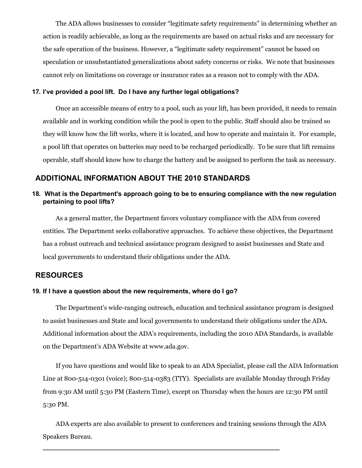The ADA allows businesses to consider "legitimate safety requirements" in determining whether an action is readily achievable, as long as the requirements are based on actual risks and are necessary for the safe operation of the business. However, a "legitimate safety requirement" cannot be based on speculation or unsubstantiated generalizations about safety concerns or risks. We note that businesses cannot rely on limitations on coverage or insurance rates as a reason not to comply with the ADA.

## **17. I've provided a pool lift. Do I have any further legal obligations?**

Once an accessible means of entry to a pool, such as your lift, has been provided, it needs to remain available and in working condition while the pool is open to the public. Staff should also be trained so they will know how the lift works, where it is located, and how to operate and maintain it. For example, a pool lift that operates on batteries may need to be recharged periodically. To be sure that lift remains operable, staff should know how to charge the battery and be assigned to perform the task as necessary.

## **ADDITIONAL INFORMATION ABOUT THE 2010 STANDARDS**

# **18. What is the Department's approach going to be to ensuring compliance with the new regulation pertaining to pool lifts?**

As a general matter, the Department favors voluntary compliance with the ADA from covered entities. The Department seeks collaborative approaches. To achieve these objectives, the Department has a robust outreach and technical assistance program designed to assist businesses and State and local governments to understand their obligations under the ADA.

# **RESOURCES**

#### **19. If I have a question about the new requirements, where do I go?**

The Department's wide-ranging outreach, education and technical assistance program is designed to assist businesses and State and local governments to understand their obligations under the ADA. Additional information about the ADA's requirements, including the 2010 ADA Standards, is available on the Department's ADA Website at www.ada.gov.

If you have questions and would like to speak to an ADA Specialist, please call the ADA Information Line at 800-514-0301 (voice); 800-514-0383 (TTY). Specialists are available Monday through Friday from 9:30 AM until 5:30 PM (Eastern Time), except on Thursday when the hours are 12:30 PM until 5:30 PM.

ADA experts are also available to present to conferences and training sessions through the ADA Speakers Bureau.